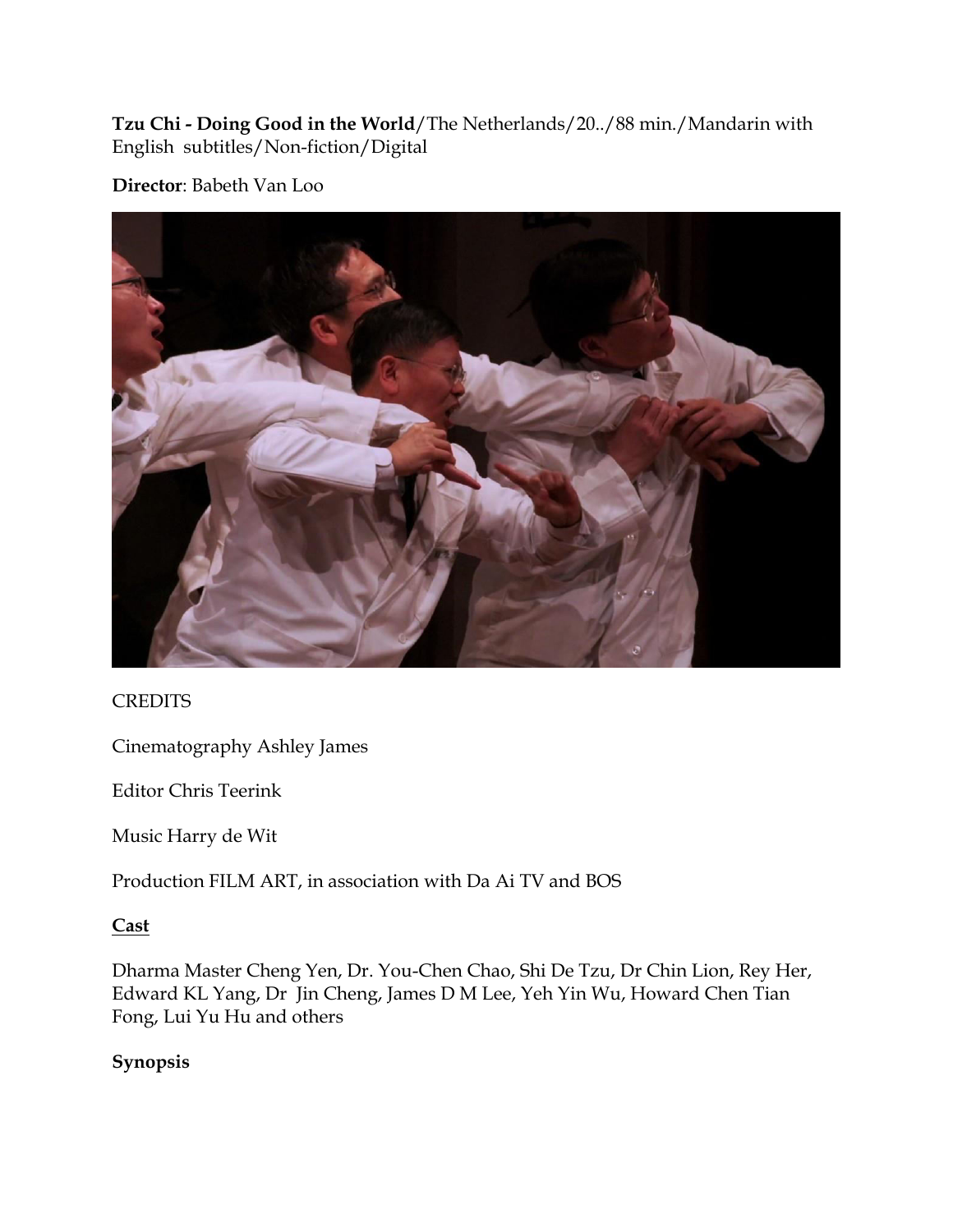**Tzu Chi - Doing Good in the World**/The Netherlands/20../88 min./Mandarin with English subtitles/Non-fiction/Digital

## **Director**: Babeth Van Loo



## **CREDITS**

Cinematography Ashley James

Editor Chris Teerink

Music Harry de Wit

Production FILM ART, in association with Da Ai TV and BOS

## **Cast**

Dharma Master Cheng Yen, Dr. You-Chen Chao, Shi De Tzu, Dr Chin Lion, Rey Her, Edward KL Yang, Dr Jin Cheng, James D M Lee, Yeh Yin Wu, Howard Chen Tian Fong, Lui Yu Hu and others

## **Synopsis**